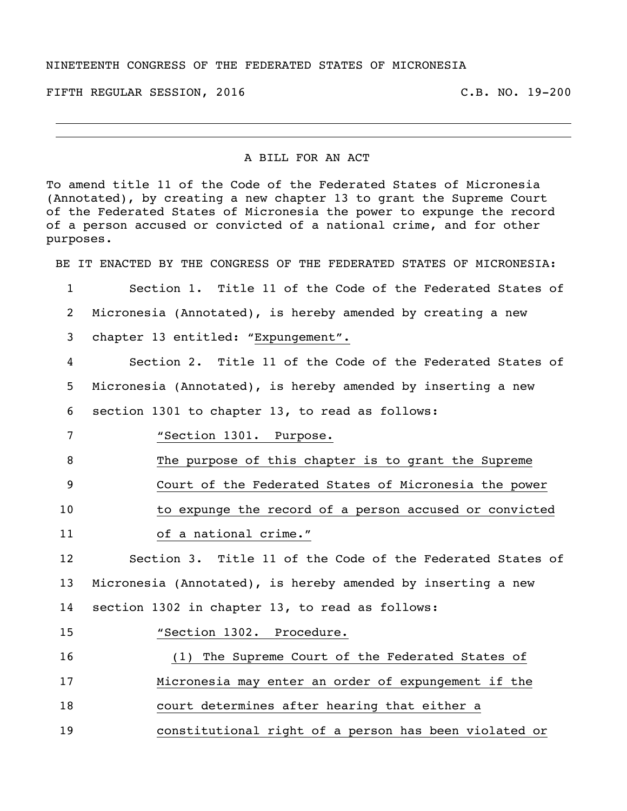## NINETEENTH CONGRESS OF THE FEDERATED STATES OF MICRONESIA

FIFTH REGULAR SESSION, 2016 C.B. NO. 19-200

## A BILL FOR AN ACT

To amend title 11 of the Code of the Federated States of Micronesia (Annotated), by creating a new chapter 13 to grant the Supreme Court of the Federated States of Micronesia the power to expunge the record of a person accused or convicted of a national crime, and for other purposes.

BE IT ENACTED BY THE CONGRESS OF THE FEDERATED STATES OF MICRONESIA:

 Section 1. Title 11 of the Code of the Federated States of Micronesia (Annotated), is hereby amended by creating a new chapter 13 entitled: "Expungement". Section 2. Title 11 of the Code of the Federated States of Micronesia (Annotated), is hereby amended by inserting a new section 1301 to chapter 13, to read as follows: "Section 1301. Purpose. The purpose of this chapter is to grant the Supreme Court of the Federated States of Micronesia the power to expunge the record of a person accused or convicted 11 of a national crime." Section 3. Title 11 of the Code of the Federated States of Micronesia (Annotated), is hereby amended by inserting a new section 1302 in chapter 13, to read as follows: 15 "Section 1302. Procedure. (1) The Supreme Court of the Federated States of Micronesia may enter an order of expungement if the

court determines after hearing that either a

constitutional right of a person has been violated or